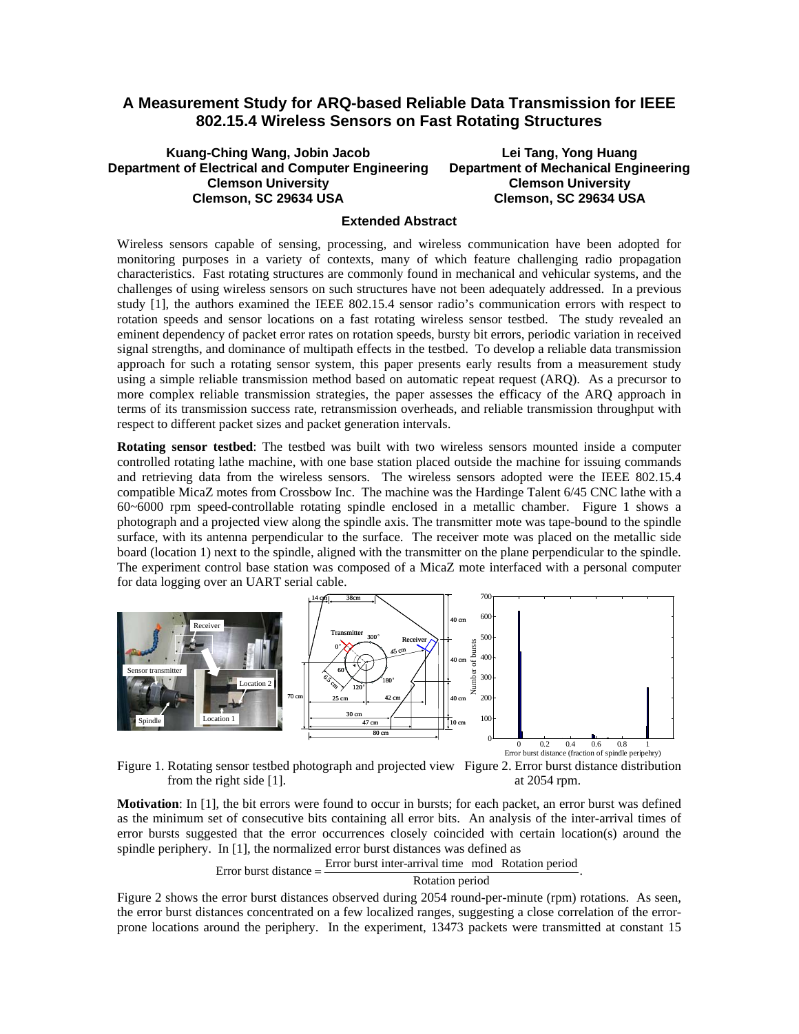## **A Measurement Study for ARQ-based Reliable Data Transmission for IEEE 802.15.4 Wireless Sensors on Fast Rotating Structures**

## **Kuang-Ching Wang, Jobin Jacob Department of Electrical and Computer Engineering Clemson University Clemson, SC 29634 USA Lei Tang, Yong Huang Department of Mechanical Engineering Clemson University Clemson, SC 29634 USA**

## **Extended Abstract**

Wireless sensors capable of sensing, processing, and wireless communication have been adopted for monitoring purposes in a variety of contexts, many of which feature challenging radio propagation characteristics. Fast rotating structures are commonly found in mechanical and vehicular systems, and the challenges of using wireless sensors on such structures have not been adequately addressed. In a previous study [1], the authors examined the IEEE 802.15.4 sensor radio's communication errors with respect to rotation speeds and sensor locations on a fast rotating wireless sensor testbed. The study revealed an eminent dependency of packet error rates on rotation speeds, bursty bit errors, periodic variation in received signal strengths, and dominance of multipath effects in the testbed. To develop a reliable data transmission approach for such a rotating sensor system, this paper presents early results from a measurement study using a simple reliable transmission method based on automatic repeat request (ARQ). As a precursor to more complex reliable transmission strategies, the paper assesses the efficacy of the ARQ approach in terms of its transmission success rate, retransmission overheads, and reliable transmission throughput with respect to different packet sizes and packet generation intervals.

**Rotating sensor testbed**: The testbed was built with two wireless sensors mounted inside a computer controlled rotating lathe machine, with one base station placed outside the machine for issuing commands and retrieving data from the wireless sensors. The wireless sensors adopted were the IEEE 802.15.4 compatible MicaZ motes from Crossbow Inc. The machine was the Hardinge Talent 6/45 CNC lathe with a 60~6000 rpm speed-controllable rotating spindle enclosed in a metallic chamber. Figure 1 shows a photograph and a projected view along the spindle axis. The transmitter mote was tape-bound to the spindle surface, with its antenna perpendicular to the surface. The receiver mote was placed on the metallic side board (location 1) next to the spindle, aligned with the transmitter on the plane perpendicular to the spindle. The experiment control base station was composed of a MicaZ mote interfaced with a personal computer for data logging over an UART serial cable.



from the right side [1]. at 2054 rpm.

**Motivation**: In [1], the bit errors were found to occur in bursts; for each packet, an error burst was defined as the minimum set of consecutive bits containing all error bits. An analysis of the inter-arrival times of error bursts suggested that the error occurrences closely coincided with certain location(s) around the spindle periphery. In [1], the normalized error burst distances was defined as



Figure 2 shows the error burst distances observed during 2054 round-per-minute (rpm) rotations. As seen, the error burst distances concentrated on a few localized ranges, suggesting a close correlation of the errorprone locations around the periphery. In the experiment, 13473 packets were transmitted at constant 15